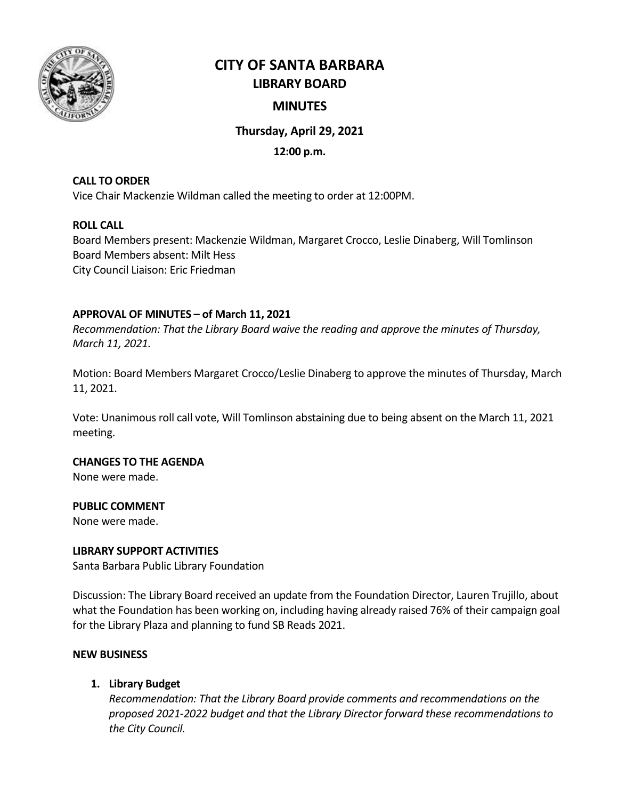

# **CITY OF SANTA BARBARA LIBRARY BOARD**

# **MINUTES**

# **Thursday, April 29, 2021**

## **12:00 p.m.**

## **CALL TO ORDER**

Vice Chair Mackenzie Wildman called the meeting to order at 12:00PM.

## **ROLL CALL**

Board Members present: Mackenzie Wildman, Margaret Crocco, Leslie Dinaberg, Will Tomlinson Board Members absent: Milt Hess City Council Liaison: Eric Friedman

## **APPROVAL OF MINUTES – of March 11, 2021**

*Recommendation: That the Library Board waive the reading and approve the minutes of Thursday, March 11, 2021.*

Motion: Board Members Margaret Crocco/Leslie Dinaberg to approve the minutes of Thursday, March 11, 2021.

Vote: Unanimous roll call vote, Will Tomlinson abstaining due to being absent on the March 11, 2021 meeting.

## **CHANGES TO THE AGENDA**

None were made.

## **PUBLIC COMMENT**

None were made.

## **LIBRARY SUPPORT ACTIVITIES**

Santa Barbara Public Library Foundation

Discussion: The Library Board received an update from the Foundation Director, Lauren Trujillo, about what the Foundation has been working on, including having already raised 76% of their campaign goal for the Library Plaza and planning to fund SB Reads 2021.

## **NEW BUSINESS**

## **1. Library Budget**

*Recommendation: That the Library Board provide comments and recommendations on the proposed 2021-2022 budget and that the Library Director forward these recommendations to the City Council.*